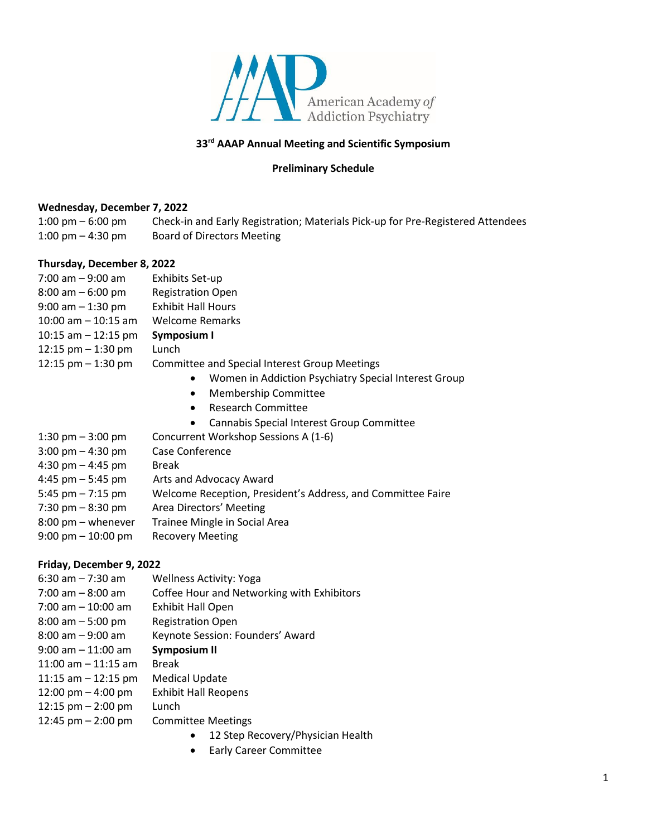

## **33rd AAAP Annual Meeting and Scientific Symposium**

# **Preliminary Schedule**

### **Wednesday, December 7, 2022**

1:00 pm – 6:00 pm Check-in and Early Registration; Materials Pick-up for Pre-Registered Attendees 1:00 pm – 4:30 pm Board of Directors Meeting

### **Thursday, December 8, 2022**

| $7:00$ am $-9:00$ am  | Exhibits Set-up                                      |
|-----------------------|------------------------------------------------------|
| $8:00$ am $-6:00$ pm  | <b>Registration Open</b>                             |
| $9:00$ am $-1:30$ pm  | <b>Exhibit Hall Hours</b>                            |
| 10:00 am $-$ 10:15 am | <b>Welcome Remarks</b>                               |
| 10:15 am $-$ 12:15 pm | Symposium I                                          |
| 12:15 pm $-$ 1:30 pm  | Lunch                                                |
| 12:15 $pm - 1:30$ pm  | <b>Committee and Special Interest Group Meetings</b> |
|                       | Women in Addiction Psychiatry Special<br>$\bullet$   |
|                       |                                                      |

- Membership Committee
- Research Committee
- Cannabis Special Interest Group Committee

Interest Group

| $1:30 \text{ pm} - 3:00 \text{ pm}$  | Concurrent Workshop Sessions A (1-6)                        |
|--------------------------------------|-------------------------------------------------------------|
| 3:00 pm $-$ 4:30 pm                  | Case Conference                                             |
| 4:30 pm $-$ 4:45 pm                  | <b>Break</b>                                                |
| 4:45 pm – 5:45 pm                    | Arts and Advocacy Award                                     |
| 5:45 pm $-7:15$ pm                   | Welcome Reception, President's Address, and Committee Faire |
| 7:30 pm $-8:30$ pm                   | Area Directors' Meeting                                     |
| 8:00 pm - whenever                   | Trainee Mingle in Social Area                               |
| $9:00 \text{ pm} - 10:00 \text{ pm}$ | <b>Recovery Meeting</b>                                     |
|                                      |                                                             |

### **Friday, December 9, 2022**

| $6:30$ am $-7:30$ am   | <b>Wellness Activity: Yoga</b>             |
|------------------------|--------------------------------------------|
| $7:00$ am $-8:00$ am   | Coffee Hour and Networking with Exhibitors |
| $7:00$ am $-10:00$ am  | <b>Exhibit Hall Open</b>                   |
| $8:00$ am $-5:00$ pm   | <b>Registration Open</b>                   |
| $8:00$ am $-9:00$ am   | Keynote Session: Founders' Award           |
| $9:00$ am $-11:00$ am  | <b>Symposium II</b>                        |
| $11:00$ am $-11:15$ am | Break                                      |
| 11:15 am $-$ 12:15 pm  | <b>Medical Update</b>                      |
| 12:00 pm $-$ 4:00 pm   | <b>Exhibit Hall Reopens</b>                |
| 12:15 $pm - 2:00$ pm   | Lunch                                      |
| 12:45 pm $- 2:00$ pm   | <b>Committee Meetings</b>                  |
|                        | 12 Sten Recovery/Physician Heal            |

- 12 Step Recovery/Physician Health
- Early Career Committee